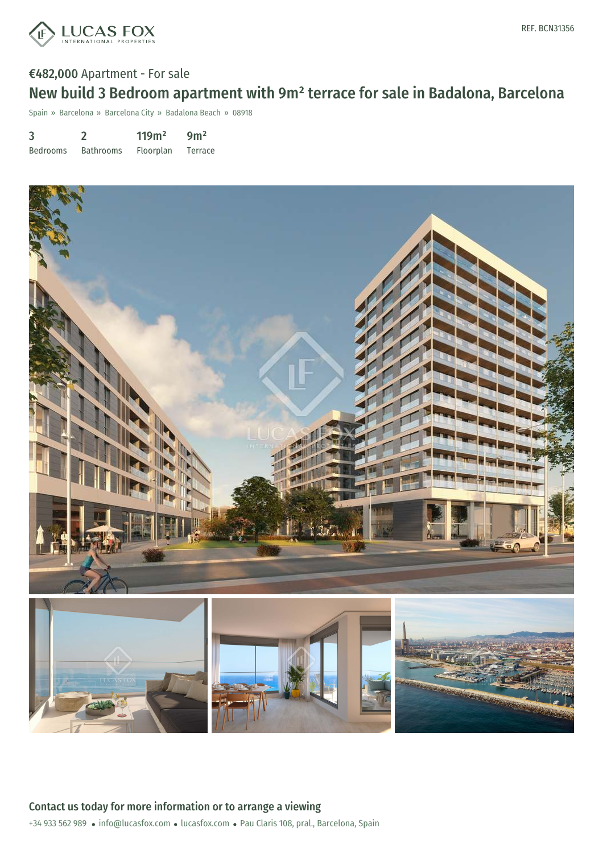

# €482,000 Apartment - For sale New build 3 Bedroom apartment with 9m² terrace for sale in Badalona, Barcelona

Spain » Barcelona » Barcelona City » Badalona Beach » 08918

| 3               |                  | 119m <sup>2</sup> | 9m <sup>2</sup> |
|-----------------|------------------|-------------------|-----------------|
| <b>Bedrooms</b> | <b>Bathrooms</b> | Floorplan         | Terrace         |

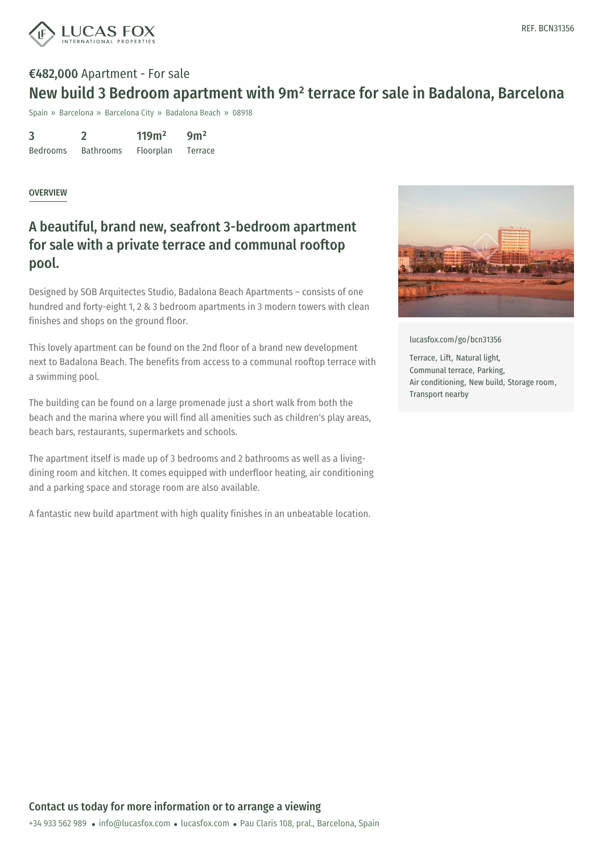

### €482,000 Apartment - For sale

## New build 3 Bedroom apartment with 9m² terrace for sale in Badalona, Barcelona

Spain » Barcelona » Barcelona City » Badalona Beach » 08918

| 3               |                  | 119m <sup>2</sup> | 9m <sup>2</sup> |
|-----------------|------------------|-------------------|-----------------|
| <b>Bedrooms</b> | <b>Bathrooms</b> | <b>Floorplan</b>  | Terrace         |

#### OVERVIEW

### A beautiful, brand new, seafront 3-bedroom apartment for sale with a private terrace and communal rooftop pool.

Designed by SOB Arquitectes Studio, Badalona Beach Apartments – consists of one hundred and forty-eight 1, 2 & 3 bedroom apartments in 3 modern towers with clean finishes and shops on the ground floor.

This lovely apartment can be found on the 2nd floor of a brand new development next to Badalona Beach. The benefits from access to a communal rooftop terrace with a swimming pool.

The building can be found on a large promenade just a short walk from both the beach and the marina where you will find all amenities such as children's play areas, beach bars, restaurants, supermarkets and schools.

The apartment itself is made up of 3 bedrooms and 2 bathrooms as well as a livingdining room and kitchen. It comes equipped with underfloor heating, air conditioning and a parking space and storage room are also available.

A fantastic new build apartment with high quality finishes in an unbeatable location.



[lucasfox.com/go/bcn31356](https://www.lucasfox.com/go/bcn31356)

Terrace, Lift, Natural light, Communal terrace, Parking, Air conditioning, New build, Storage room, Transport nearby